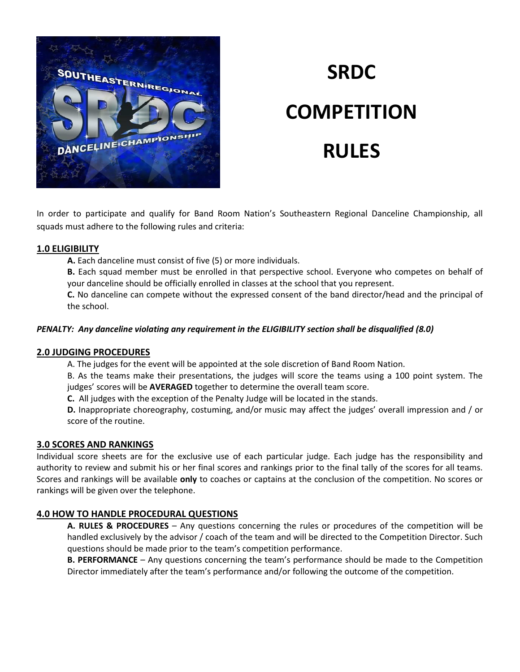

# **SRDC COMPETITION RULES**

In order to participate and qualify for Band Room Nation's Southeastern Regional Danceline Championship, all squads must adhere to the following rules and criteria:

## **1.0 ELIGIBILITY**

**A.** Each danceline must consist of five (5) or more individuals.

**B.** Each squad member must be enrolled in that perspective school. Everyone who competes on behalf of your danceline should be officially enrolled in classes at the school that you represent.

**C.** No danceline can compete without the expressed consent of the band director/head and the principal of the school.

## *PENALTY: Any danceline violating any requirement in the ELIGIBILITY section shall be disqualified (8.0)*

# **2.0 JUDGING PROCEDURES**

A. The judges for the event will be appointed at the sole discretion of Band Room Nation.

B. As the teams make their presentations, the judges will score the teams using a 100 point system. The judges' scores will be **AVERAGED** together to determine the overall team score.

**C.** All judges with the exception of the Penalty Judge will be located in the stands.

**D.** Inappropriate choreography, costuming, and/or music may affect the judges' overall impression and / or score of the routine.

# **3.0 SCORES AND RANKINGS**

Individual score sheets are for the exclusive use of each particular judge. Each judge has the responsibility and authority to review and submit his or her final scores and rankings prior to the final tally of the scores for all teams. Scores and rankings will be available **only** to coaches or captains at the conclusion of the competition. No scores or rankings will be given over the telephone.

# **4.0 HOW TO HANDLE PROCEDURAL QUESTIONS**

**A. RULES & PROCEDURES** – Any questions concerning the rules or procedures of the competition will be handled exclusively by the advisor / coach of the team and will be directed to the Competition Director. Such questions should be made prior to the team's competition performance.

**B. PERFORMANCE** – Any questions concerning the team's performance should be made to the Competition Director immediately after the team's performance and/or following the outcome of the competition.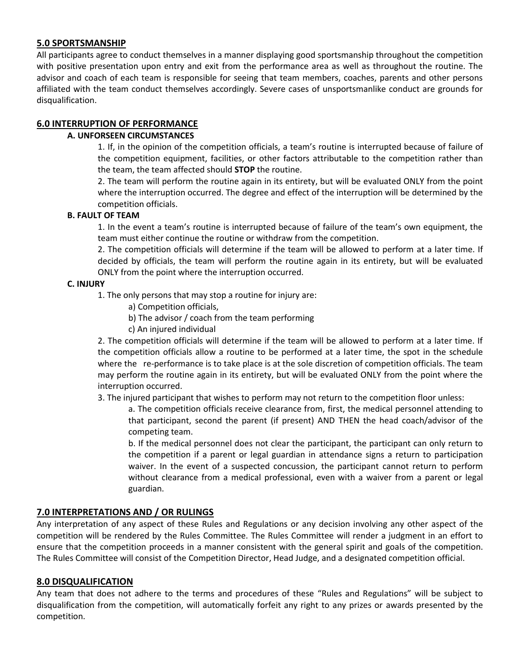## **5.0 SPORTSMANSHIP**

All participants agree to conduct themselves in a manner displaying good sportsmanship throughout the competition with positive presentation upon entry and exit from the performance area as well as throughout the routine. The advisor and coach of each team is responsible for seeing that team members, coaches, parents and other persons affiliated with the team conduct themselves accordingly. Severe cases of unsportsmanlike conduct are grounds for disqualification.

# **6.0 INTERRUPTION OF PERFORMANCE**

## **A. UNFORSEEN CIRCUMSTANCES**

1. If, in the opinion of the competition officials, a team's routine is interrupted because of failure of the competition equipment, facilities, or other factors attributable to the competition rather than the team, the team affected should **STOP** the routine.

2. The team will perform the routine again in its entirety, but will be evaluated ONLY from the point where the interruption occurred. The degree and effect of the interruption will be determined by the competition officials.

#### **B. FAULT OF TEAM**

1. In the event a team's routine is interrupted because of failure of the team's own equipment, the team must either continue the routine or withdraw from the competition.

2. The competition officials will determine if the team will be allowed to perform at a later time. If decided by officials, the team will perform the routine again in its entirety, but will be evaluated ONLY from the point where the interruption occurred.

#### **C. INJURY**

1. The only persons that may stop a routine for injury are:

- a) Competition officials,
- b) The advisor / coach from the team performing
- c) An injured individual

2. The competition officials will determine if the team will be allowed to perform at a later time. If the competition officials allow a routine to be performed at a later time, the spot in the schedule where the re-performance is to take place is at the sole discretion of competition officials. The team may perform the routine again in its entirety, but will be evaluated ONLY from the point where the interruption occurred.

3. The injured participant that wishes to perform may not return to the competition floor unless:

a. The competition officials receive clearance from, first, the medical personnel attending to that participant, second the parent (if present) AND THEN the head coach/advisor of the competing team.

b. If the medical personnel does not clear the participant, the participant can only return to the competition if a parent or legal guardian in attendance signs a return to participation waiver. In the event of a suspected concussion, the participant cannot return to perform without clearance from a medical professional, even with a waiver from a parent or legal guardian.

# **7.0 INTERPRETATIONS AND / OR RULINGS**

Any interpretation of any aspect of these Rules and Regulations or any decision involving any other aspect of the competition will be rendered by the Rules Committee. The Rules Committee will render a judgment in an effort to ensure that the competition proceeds in a manner consistent with the general spirit and goals of the competition. The Rules Committee will consist of the Competition Director, Head Judge, and a designated competition official.

#### **8.0 DISQUALIFICATION**

Any team that does not adhere to the terms and procedures of these "Rules and Regulations" will be subject to disqualification from the competition, will automatically forfeit any right to any prizes or awards presented by the competition.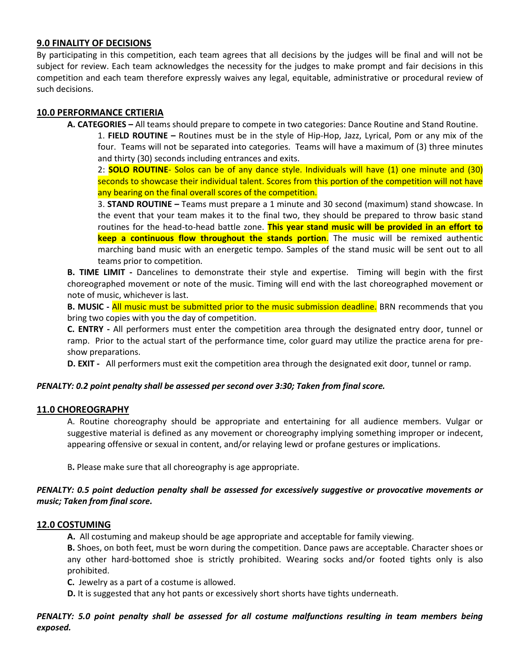#### **9.0 FINALITY OF DECISIONS**

By participating in this competition, each team agrees that all decisions by the judges will be final and will not be subject for review. Each team acknowledges the necessity for the judges to make prompt and fair decisions in this competition and each team therefore expressly waives any legal, equitable, administrative or procedural review of such decisions.

# **10.0 PERFORMANCE CRTIERIA**

**A. CATEGORIES –** All teams should prepare to compete in two categories: Dance Routine and Stand Routine. 1. **FIELD ROUTINE –** Routines must be in the style of Hip-Hop, Jazz, Lyrical, Pom or any mix of the four. Teams will not be separated into categories. Teams will have a maximum of (3) three minutes and thirty (30) seconds including entrances and exits.

2: **SOLO ROUTINE**- Solos can be of any dance style. Individuals will have (1) one minute and (30) seconds to showcase their individual talent. Scores from this portion of the competition will not have any bearing on the final overall scores of the competition.

3. **STAND ROUTINE –** Teams must prepare a 1 minute and 30 second (maximum) stand showcase. In the event that your team makes it to the final two, they should be prepared to throw basic stand routines for the head-to-head battle zone. **This year stand music will be provided in an effort to keep a continuous flow throughout the stands portion**. The music will be remixed authentic marching band music with an energetic tempo. Samples of the stand music will be sent out to all teams prior to competition.

**B. TIME LIMIT -** Dancelines to demonstrate their style and expertise. Timing will begin with the first choreographed movement or note of the music. Timing will end with the last choreographed movement or note of music, whichever is last.

**B. MUSIC -** All music must be submitted prior to the music submission deadline. BRN recommends that you bring two copies with you the day of competition.

**C. ENTRY -** All performers must enter the competition area through the designated entry door, tunnel or ramp. Prior to the actual start of the performance time, color guard may utilize the practice arena for preshow preparations.

**D. EXIT -** All performers must exit the competition area through the designated exit door, tunnel or ramp.

#### *PENALTY: 0.2 point penalty shall be assessed per second over 3:30; Taken from final score.*

#### **11.0 CHOREOGRAPHY**

A. Routine choreography should be appropriate and entertaining for all audience members. Vulgar or suggestive material is defined as any movement or choreography implying something improper or indecent, appearing offensive or sexual in content, and/or relaying lewd or profane gestures or implications.

B**.** Please make sure that all choreography is age appropriate.

## *PENALTY: 0.5 point deduction penalty shall be assessed for excessively suggestive or provocative movements or music; Taken from final score.*

#### **12.0 COSTUMING**

**A.** All costuming and makeup should be age appropriate and acceptable for family viewing.

**B.** Shoes, on both feet, must be worn during the competition. Dance paws are acceptable. Character shoes or any other hard-bottomed shoe is strictly prohibited. Wearing socks and/or footed tights only is also prohibited.

**C.** Jewelry as a part of a costume is allowed.

**D.** It is suggested that any hot pants or excessively short shorts have tights underneath.

# *PENALTY: 5.0 point penalty shall be assessed for all costume malfunctions resulting in team members being exposed.*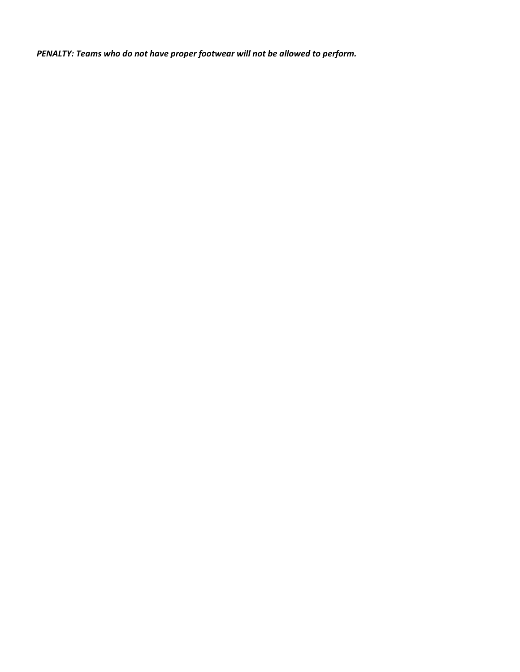*PENALTY: Teams who do not have proper footwear will not be allowed to perform.*